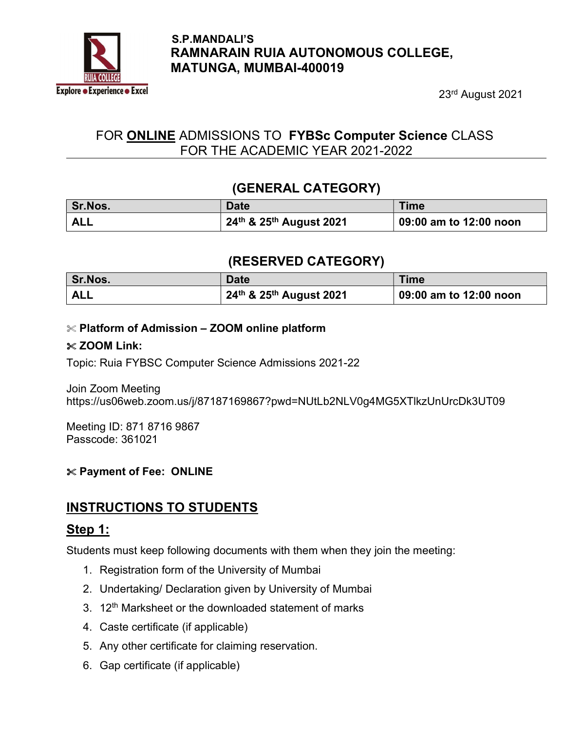

#### S.P.MANDALI'S RAMNARAIN RUIA AUTONOMOUS COLLEGE, MATUNGA, MUMBAI-400019

23rd August 2021

# FOR ONLINE ADMISSIONS TO FYBSc Computer Science CLASS FOR THE ACADEMIC YEAR 2021-2022

## (GENERAL CATEGORY)

| Sr.Nos.    | <b>Date</b>             | <b>Time</b>            |
|------------|-------------------------|------------------------|
| <b>ALL</b> | 24th & 25th August 2021 | 09:00 am to 12:00 noon |

## (RESERVED CATEGORY)

| Sr.Nos. | Date                    | Time                   |
|---------|-------------------------|------------------------|
| ALL     | 24th & 25th August 2021 | 09:00 am to 12:00 noon |

#### $\mathcal X$  Platform of Admission – ZOOM online platform

#### $\&$  ZOOM Link:

Topic: Ruia FYBSC Computer Science Admissions 2021-22

Join Zoom Meeting https://us06web.zoom.us/j/87187169867?pwd=NUtLb2NLV0g4MG5XTlkzUnUrcDk3UT09

Meeting ID: 871 8716 9867 Passcode: 361021

#### Payment of Fee: ONLINE

# INSTRUCTIONS TO STUDENTS

## Step 1:

Students must keep following documents with them when they join the meeting:

- 1. Registration form of the University of Mumbai
- 2. Undertaking/ Declaration given by University of Mumbai
- 3. 12<sup>th</sup> Marksheet or the downloaded statement of marks
- 4. Caste certificate (if applicable)
- 5. Any other certificate for claiming reservation.
- 6. Gap certificate (if applicable)